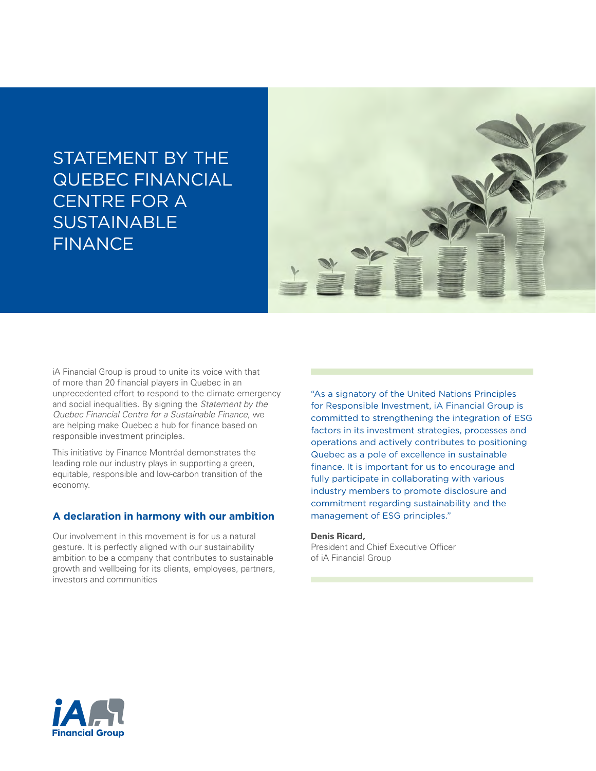# STATEMENT BY THE QUEBEC FINANCIAL CENTRE FOR A **SUSTAINABLE** FINANCE



iA Financial Group is proud to unite its voice with that of more than 20 financial players in Quebec in an unprecedented effort to respond to the climate emergency and social inequalities. By signing the *Statement by the Quebec Financial Centre for a Sustainable Finance*, we are helping make Quebec a hub for finance based on responsible investment principles.

This initiative by Finance Montréal demonstrates the leading role our industry plays in supporting a green, equitable, responsible and low-carbon transition of the economy.

## **A declaration in harmony with our ambition**

Our involvement in this movement is for us a natural gesture. It is perfectly aligned with our sustainability ambition to be a company that contributes to sustainable growth and wellbeing for its clients, employees, partners, investors and communities

"As a signatory of the United Nations Principles for Responsible Investment, iA Financial Group is committed to strengthening the integration of ESG factors in its investment strategies, processes and operations and actively contributes to positioning Quebec as a pole of excellence in sustainable finance. It is important for us to encourage and fully participate in collaborating with various industry members to promote disclosure and commitment regarding sustainability and the management of ESG principles."

### **Denis Ricard,**

President and Chief Executive Officer of iA Financial Group